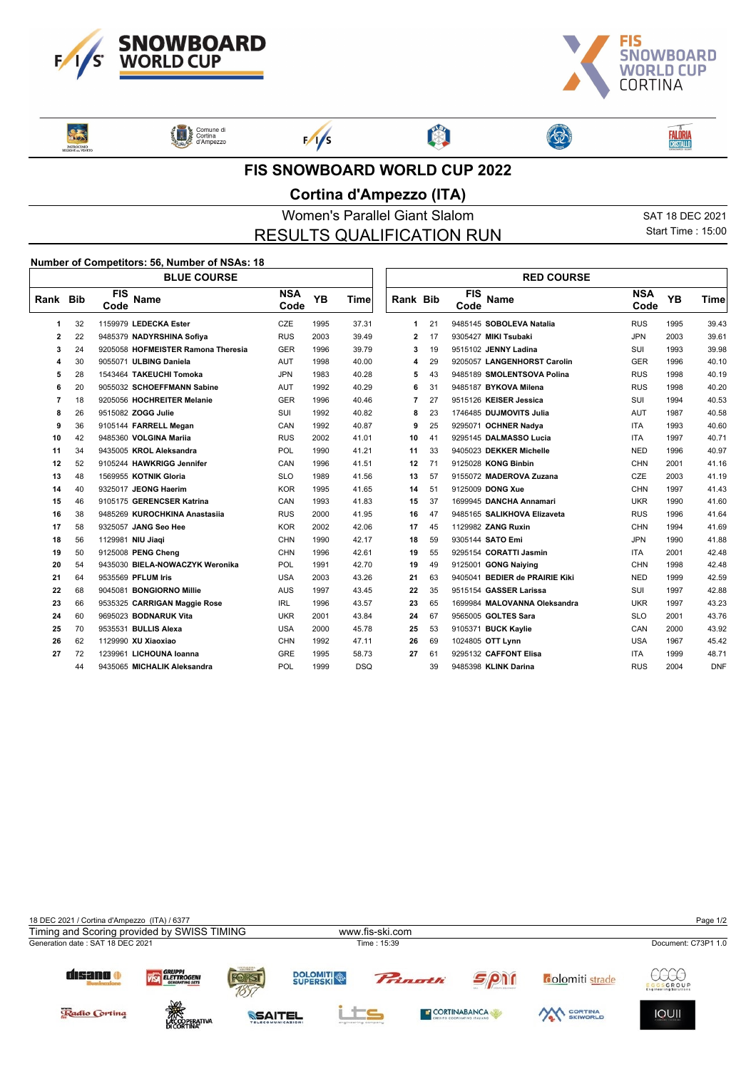



Sans **ENTROCINIO** 

Comune di<br>Cortina<br>d'Ampezzo



 $F/1/s$ 

图



3

**FIS SNOWBOARD WORLD CUP 2022**

## **Cortina d'Ampezzo (ITA)**

Women's Parallel Giant Slalom Sat 18 DEC 2021 RESULTS QUALIFICATION RUN

> ור  $\sqrt{ }$

Start Time : 15:00

**FALÔRIA**<br>CRISTALLO

## **Number of Competitors: 56, Number of NSAs: 18**

|          |    | <b>BLUE COURSE</b>                 |                    |      |            |                 |    |                    | <b>RED COURSE</b>              |                    |      |            |
|----------|----|------------------------------------|--------------------|------|------------|-----------------|----|--------------------|--------------------------------|--------------------|------|------------|
| Rank Bib |    | <b>FIS</b><br><b>Name</b><br>Code  | <b>NSA</b><br>Code | YB   | Time       | <b>Rank Bib</b> |    | <b>FIS</b><br>Code | <b>Name</b>                    | <b>NSA</b><br>Code | YB   | Time       |
| 1        | 32 | 1159979 LEDECKA Ester              | CZE                | 1995 | 37.31      | 1               | 21 |                    | 9485145 SOBOLEVA Natalia       | <b>RUS</b>         | 1995 | 39.43      |
| 2        | 22 | 9485379 NADYRSHINA Sofiya          | <b>RUS</b>         | 2003 | 39.49      | 2               | 17 |                    | 9305427 MIKI Tsubaki           | <b>JPN</b>         | 2003 | 39.61      |
| 3        | 24 | 9205058 HOFMEISTER Ramona Theresia | <b>GER</b>         | 1996 | 39.79      | 3               | 19 |                    | 9515102 JENNY Ladina           | SUI                | 1993 | 39.98      |
| 4        | 30 | 9055071 ULBING Daniela             | AUT                | 1998 | 40.00      | 4               | 29 |                    | 9205057 LANGENHORST Carolin    | <b>GER</b>         | 1996 | 40.10      |
| 5        | 28 | 1543464 TAKEUCHI Tomoka            | <b>JPN</b>         | 1983 | 40.28      | 5               | 43 |                    | 9485189 SMOLENTSOVA Polina     | <b>RUS</b>         | 1998 | 40.19      |
| 6        | 20 | 9055032 SCHOEFFMANN Sabine         | AUT                | 1992 | 40.29      | 6               | 31 |                    | 9485187 BYKOVA Milena          | <b>RUS</b>         | 1998 | 40.20      |
| 7        | 18 | 9205056 HOCHREITER Melanie         | <b>GER</b>         | 1996 | 40.46      | $\overline{7}$  | 27 |                    | 9515126 KEISER Jessica         | SUI                | 1994 | 40.53      |
| 8        | 26 | 9515082 ZOGG Julie                 | SUI                | 1992 | 40.82      | 8               | 23 |                    | 1746485 DUJMOVITS Julia        | <b>AUT</b>         | 1987 | 40.58      |
| 9        | 36 | 9105144 FARRELL Megan              | CAN                | 1992 | 40.87      | 9               | 25 |                    | 9295071 OCHNER Nadya           | <b>ITA</b>         | 1993 | 40.60      |
| 10       | 42 | 9485360 VOLGINA Marija             | <b>RUS</b>         | 2002 | 41.01      | 10              | 41 |                    | 9295145 DALMASSO Lucia         | <b>ITA</b>         | 1997 | 40.71      |
| 11       | 34 | 9435005 KROL Aleksandra            | POL                | 1990 | 41.21      | 11              | 33 |                    | 9405023 DEKKER Michelle        | <b>NED</b>         | 1996 | 40.97      |
| 12       | 52 | 9105244 HAWKRIGG Jennifer          | CAN                | 1996 | 41.51      | 12              | 71 |                    | 9125028 KONG Binbin            | <b>CHN</b>         | 2001 | 41.16      |
| 13       | 48 | 1569955 KOTNIK Gloria              | <b>SLO</b>         | 1989 | 41.56      | 13              | 57 |                    | 9155072 MADEROVA Zuzana        | CZE                | 2003 | 41.19      |
| 14       | 40 | 9325017 JEONG Haerim               | <b>KOR</b>         | 1995 | 41.65      | 14              | 51 |                    | 9125009 DONG Xue               | <b>CHN</b>         | 1997 | 41.43      |
| 15       | 46 | 9105175 GERENCSER Katrina          | CAN                | 1993 | 41.83      | 15              | 37 |                    | 1699945 DANCHA Annamari        | <b>UKR</b>         | 1990 | 41.60      |
| 16       | 38 | 9485269 KUROCHKINA Anastasija      | <b>RUS</b>         | 2000 | 41.95      | 16              | 47 |                    | 9485165 SALIKHOVA Elizaveta    | <b>RUS</b>         | 1996 | 41.64      |
| 17       | 58 | 9325057 JANG Seo Hee               | <b>KOR</b>         | 2002 | 42.06      | 17              | 45 |                    | 1129982 ZANG Ruxin             | <b>CHN</b>         | 1994 | 41.69      |
| 18       | 56 | 1129981 NIU Jiaqi                  | <b>CHN</b>         | 1990 | 42.17      | 18              | 59 |                    | 9305144 SATO Emi               | <b>JPN</b>         | 1990 | 41.88      |
| 19       | 50 | 9125008 PENG Cheng                 | <b>CHN</b>         | 1996 | 42.61      | 19              | 55 |                    | 9295154 CORATTI Jasmin         | <b>ITA</b>         | 2001 | 42.48      |
| 20       | 54 | 9435030 BIELA-NOWACZYK Weronika    | <b>POL</b>         | 1991 | 42.70      | 19              | 49 |                    | 9125001 GONG Naiving           | <b>CHN</b>         | 1998 | 42.48      |
| 21       | 64 | 9535569 PFLUM Iris                 | <b>USA</b>         | 2003 | 43.26      | 21              | 63 |                    | 9405041 BEDIER de PRAIRIE Kiki | <b>NED</b>         | 1999 | 42.59      |
| 22       | 68 | 9045081 BONGIORNO Millie           | <b>AUS</b>         | 1997 | 43.45      | 22              | 35 |                    | 9515154 GASSER Larissa         | SUI                | 1997 | 42.88      |
| 23       | 66 | 9535325 CARRIGAN Maggie Rose       | IRL                | 1996 | 43.57      | 23              | 65 |                    | 1699984 MALOVANNA Oleksandra   | <b>UKR</b>         | 1997 | 43.23      |
| 24       | 60 | 9695023 BODNARUK Vita              | <b>UKR</b>         | 2001 | 43.84      | 24              | 67 |                    | 9565005 GOLTES Sara            | <b>SLO</b>         | 2001 | 43.76      |
| 25       | 70 | 9535531 BULLIS Alexa               | <b>USA</b>         | 2000 | 45.78      | 25              | 53 |                    | 9105371 BUCK Kaylie            | CAN                | 2000 | 43.92      |
| 26       | 62 | 1129990 XU Xiaoxiao                | <b>CHN</b>         | 1992 | 47.11      | 26              | 69 |                    | 1024805 OTT Lynn               | <b>USA</b>         | 1967 | 45.42      |
| 27       | 72 | 1239961 LICHOUNA Ioanna            | <b>GRE</b>         | 1995 | 58.73      | 27              | 61 |                    | 9295132 CAFFONT Elisa          | <b>ITA</b>         | 1999 | 48.71      |
|          | 44 | 9435065 MICHALIK Aleksandra        | POL                | 1999 | <b>DSQ</b> |                 | 39 |                    | 9485398 KLINK Darina           | <b>RUS</b>         | 2004 | <b>DNF</b> |